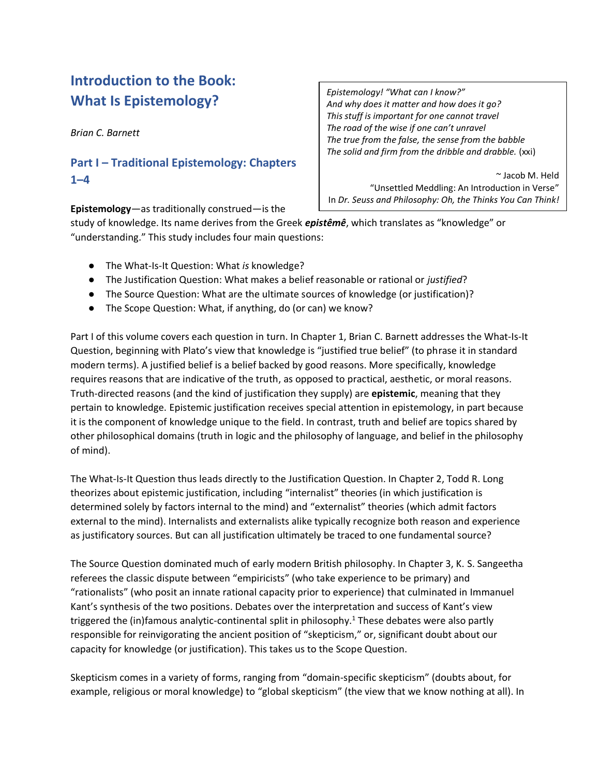# **Introduction to the Book: What Is Epistemology?**

*Brian C. Barnett*

# **Part I – Traditional Epistemology: Chapters 1–4**

**Epistemology**—as traditionally construed—is the

*Epistemology! "What can I know?" And why does it matter and how does it go? This stuff is important for one cannot travel The road of the wise if one can't unravel The true from the false, the sense from the babble The solid and firm from the dribble and drabble.* (xxi)

~ Jacob M. Held "Unsettled Meddling: An Introduction in Verse" In *Dr. Seuss and Philosophy: Oh, the Thinks You Can Think!*

study of knowledge. Its name derives from the Greek *epistêmê*, which translates as "knowledge" or "understanding." This study includes four main questions:

- The What-Is-It Question: What *is* knowledge?
- The Justification Question: What makes a belief reasonable or rational or *justified*?
- The Source Question: What are the ultimate sources of knowledge (or justification)?
- The Scope Question: What, if anything, do (or can) we know?

Part I of this volume covers each question in turn. In Chapter 1, Brian C. Barnett addresses the What-Is-It Question, beginning with Plato's view that knowledge is "justified true belief" (to phrase it in standard modern terms). A justified belief is a belief backed by good reasons. More specifically, knowledge requires reasons that are indicative of the truth, as opposed to practical, aesthetic, or moral reasons. Truth-directed reasons (and the kind of justification they supply) are **epistemic**, meaning that they pertain to knowledge. Epistemic justification receives special attention in epistemology, in part because it is the component of knowledge unique to the field. In contrast, truth and belief are topics shared by other philosophical domains (truth in logic and the philosophy of language, and belief in the philosophy of mind).

The What-Is-It Question thus leads directly to the Justification Question. In Chapter 2, Todd R. Long theorizes about epistemic justification, including "internalist" theories (in which justification is determined solely by factors internal to the mind) and "externalist" theories (which admit factors external to the mind). Internalists and externalists alike typically recognize both reason and experience as justificatory sources. But can all justification ultimately be traced to one fundamental source?

The Source Question dominated much of early modern British philosophy. In Chapter 3, K. S. Sangeetha referees the classic dispute between "empiricists" (who take experience to be primary) and "rationalists" (who posit an innate rational capacity prior to experience) that culminated in Immanuel Kant's synthesis of the two positions. Debates over the interpretation and success of Kant's view triggered the (in)famous analytic-continental split in philosophy.<sup>1</sup> These debates were also partly responsible for reinvigorating the ancient position of "skepticism," or, significant doubt about our capacity for knowledge (or justification). This takes us to the Scope Question.

Skepticism comes in a variety of forms, ranging from "domain-specific skepticism" (doubts about, for example, religious or moral knowledge) to "global skepticism" (the view that we know nothing at all). In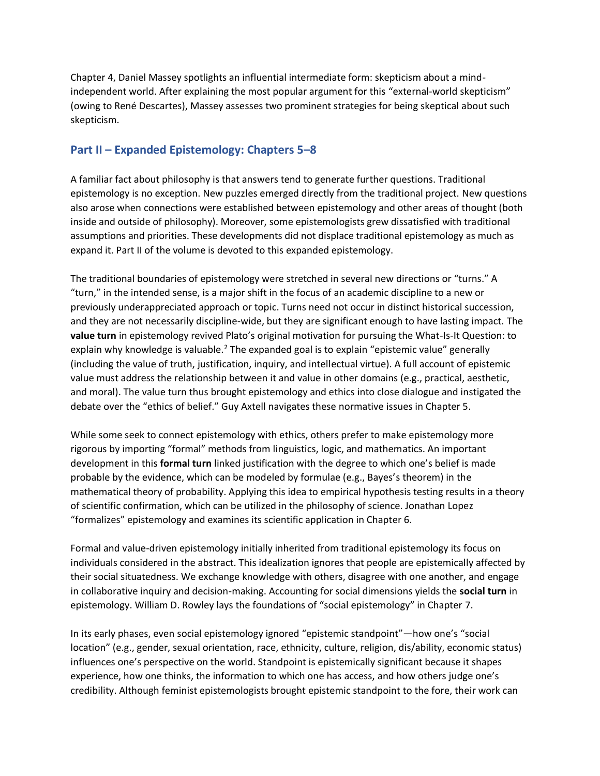Chapter 4, Daniel Massey spotlights an influential intermediate form: skepticism about a mindindependent world. After explaining the most popular argument for this "external-world skepticism" (owing to René Descartes), Massey assesses two prominent strategies for being skeptical about such skepticism.

# **Part II – Expanded Epistemology: Chapters 5–8**

A familiar fact about philosophy is that answers tend to generate further questions. Traditional epistemology is no exception. New puzzles emerged directly from the traditional project. New questions also arose when connections were established between epistemology and other areas of thought (both inside and outside of philosophy). Moreover, some epistemologists grew dissatisfied with traditional assumptions and priorities. These developments did not displace traditional epistemology as much as expand it. Part II of the volume is devoted to this expanded epistemology.

The traditional boundaries of epistemology were stretched in several new directions or "turns." A "turn," in the intended sense, is a major shift in the focus of an academic discipline to a new or previously underappreciated approach or topic. Turns need not occur in distinct historical succession, and they are not necessarily discipline-wide, but they are significant enough to have lasting impact. The **value turn** in epistemology revived Plato's original motivation for pursuing the What-Is-It Question: to explain why knowledge is valuable.<sup>2</sup> The expanded goal is to explain "epistemic value" generally (including the value of truth, justification, inquiry, and intellectual virtue). A full account of epistemic value must address the relationship between it and value in other domains (e.g., practical, aesthetic, and moral). The value turn thus brought epistemology and ethics into close dialogue and instigated the debate over the "ethics of belief." Guy Axtell navigates these normative issues in Chapter 5.

While some seek to connect epistemology with ethics, others prefer to make epistemology more rigorous by importing "formal" methods from linguistics, logic, and mathematics. An important development in this **formal turn** linked justification with the degree to which one's belief is made probable by the evidence, which can be modeled by formulae (e.g., Bayes's theorem) in the mathematical theory of probability. Applying this idea to empirical hypothesis testing results in a theory of scientific confirmation, which can be utilized in the philosophy of science. Jonathan Lopez "formalizes" epistemology and examines its scientific application in Chapter 6.

Formal and value-driven epistemology initially inherited from traditional epistemology its focus on individuals considered in the abstract. This idealization ignores that people are epistemically affected by their social situatedness. We exchange knowledge with others, disagree with one another, and engage in collaborative inquiry and decision-making. Accounting for social dimensions yields the **social turn** in epistemology. William D. Rowley lays the foundations of "social epistemology" in Chapter 7.

In its early phases, even social epistemology ignored "epistemic standpoint"—how one's "social location" (e.g., gender, sexual orientation, race, ethnicity, culture, religion, dis/ability, economic status) influences one's perspective on the world. Standpoint is epistemically significant because it shapes experience, how one thinks, the information to which one has access, and how others judge one's credibility. Although feminist epistemologists brought epistemic standpoint to the fore, their work can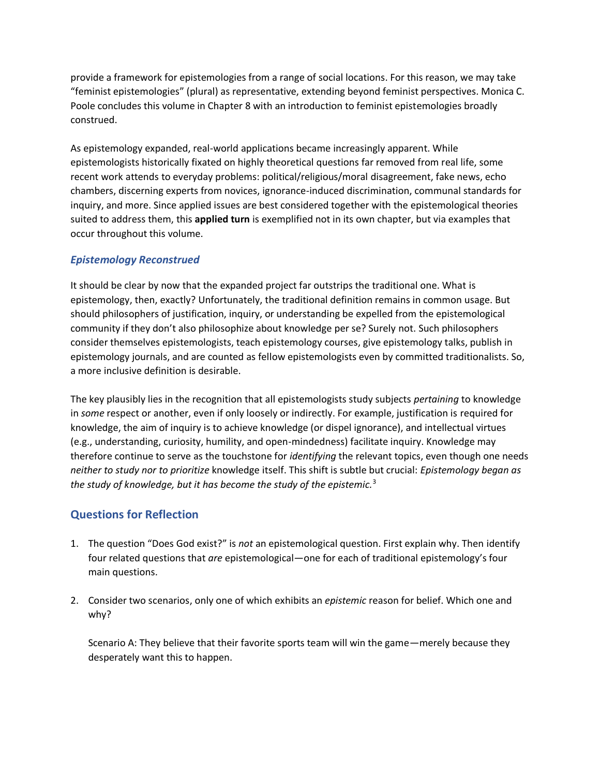provide a framework for epistemologies from a range of social locations. For this reason, we may take "feminist epistemologies" (plural) as representative, extending beyond feminist perspectives. Monica C. Poole concludes this volume in Chapter 8 with an introduction to feminist epistemologies broadly construed.

As epistemology expanded, real-world applications became increasingly apparent. While epistemologists historically fixated on highly theoretical questions far removed from real life, some recent work attends to everyday problems: political/religious/moral disagreement, fake news, echo chambers, discerning experts from novices, ignorance-induced discrimination, communal standards for inquiry, and more. Since applied issues are best considered together with the epistemological theories suited to address them, this **applied turn** is exemplified not in its own chapter, but via examples that occur throughout this volume.

### *Epistemology Reconstrued*

It should be clear by now that the expanded project far outstrips the traditional one. What is epistemology, then, exactly? Unfortunately, the traditional definition remains in common usage. But should philosophers of justification, inquiry, or understanding be expelled from the epistemological community if they don't also philosophize about knowledge per se? Surely not. Such philosophers consider themselves epistemologists, teach epistemology courses, give epistemology talks, publish in epistemology journals, and are counted as fellow epistemologists even by committed traditionalists. So, a more inclusive definition is desirable.

The key plausibly lies in the recognition that all epistemologists study subjects *pertaining* to knowledge in *some* respect or another, even if only loosely or indirectly. For example, justification is required for knowledge, the aim of inquiry is to achieve knowledge (or dispel ignorance), and intellectual virtues (e.g., understanding, curiosity, humility, and open-mindedness) facilitate inquiry. Knowledge may therefore continue to serve as the touchstone for *identifying* the relevant topics, even though one needs *neither to study nor to prioritize* knowledge itself. This shift is subtle but crucial: *Epistemology began as the study of knowledge, but it has become the study of the epistemic.*<sup>3</sup>

# **Questions for Reflection**

- 1. The question "Does God exist?" is *not* an epistemological question. First explain why. Then identify four related questions that *are* epistemological—one for each of traditional epistemology's four main questions.
- 2. Consider two scenarios, only one of which exhibits an *epistemic* reason for belief. Which one and why?

Scenario A: They believe that their favorite sports team will win the game—merely because they desperately want this to happen.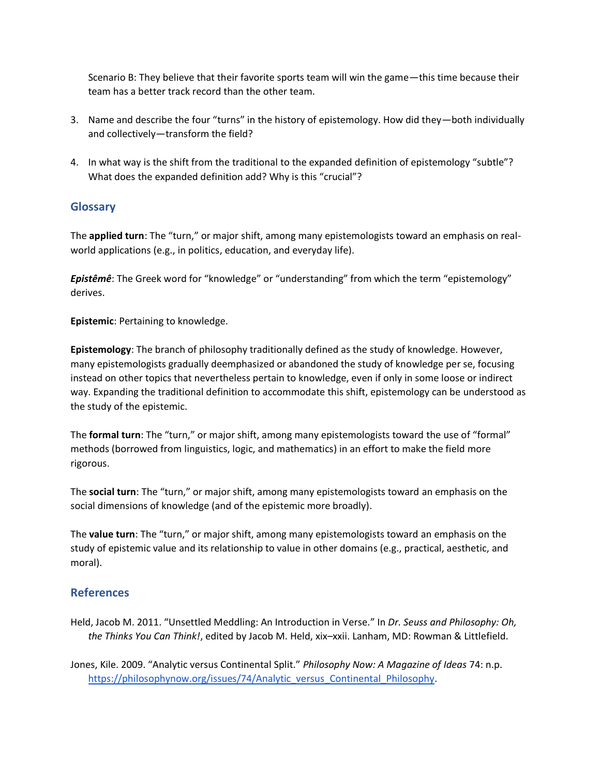Scenario B: They believe that their favorite sports team will win the game—this time because their team has a better track record than the other team.

- 3. Name and describe the four "turns" in the history of epistemology. How did they—both individually and collectively—transform the field?
- 4. In what way is the shift from the traditional to the expanded definition of epistemology "subtle"? What does the expanded definition add? Why is this "crucial"?

## **Glossary**

The **applied turn**: The "turn," or major shift, among many epistemologists toward an emphasis on realworld applications (e.g., in politics, education, and everyday life).

*Epistêmê*: The Greek word for "knowledge" or "understanding" from which the term "epistemology" derives.

**Epistemic**: Pertaining to knowledge.

**Epistemology**: The branch of philosophy traditionally defined as the study of knowledge. However, many epistemologists gradually deemphasized or abandoned the study of knowledge per se, focusing instead on other topics that nevertheless pertain to knowledge, even if only in some loose or indirect way. Expanding the traditional definition to accommodate this shift, epistemology can be understood as the study of the epistemic.

The **formal turn**: The "turn," or major shift, among many epistemologists toward the use of "formal" methods (borrowed from linguistics, logic, and mathematics) in an effort to make the field more rigorous.

The **social turn**: The "turn," or major shift, among many epistemologists toward an emphasis on the social dimensions of knowledge (and of the epistemic more broadly).

The **value turn**: The "turn," or major shift, among many epistemologists toward an emphasis on the study of epistemic value and its relationship to value in other domains (e.g., practical, aesthetic, and moral).

### **References**

Held, Jacob M. 2011. "Unsettled Meddling: An Introduction in Verse." In *Dr. Seuss and Philosophy: Oh, the Thinks You Can Think!*, edited by Jacob M. Held, xix–xxii. Lanham, MD: Rowman & Littlefield.

Jones, Kile. 2009. "Analytic versus Continental Split." *Philosophy Now: A Magazine of Ideas* 74: n.p. [https://philosophynow.org/issues/74/Analytic\\_versus\\_Continental\\_Philosophy.](https://philosophynow.org/issues/74/Analytic_versus_Continental_Philosophy)